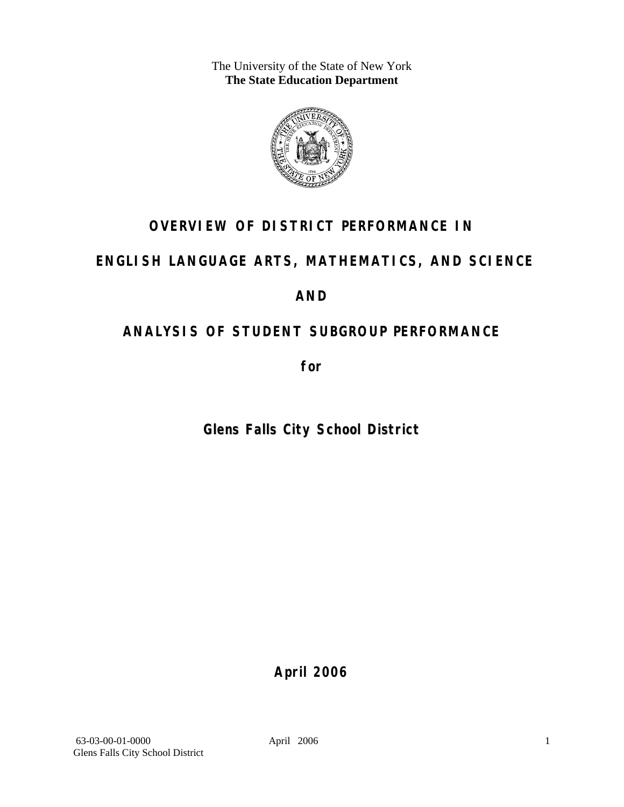The University of the State of New York **The State Education Department** 



## **OVERVIEW OF DISTRICT PERFORMANCE IN**

## **ENGLISH LANGUAGE ARTS, MATHEMATICS, AND SCIENCE**

## **AND**

# **ANALYSIS OF STUDENT SUBGROUP PERFORMANCE**

**for** 

## **Glens Falls City School District**

**April 2006**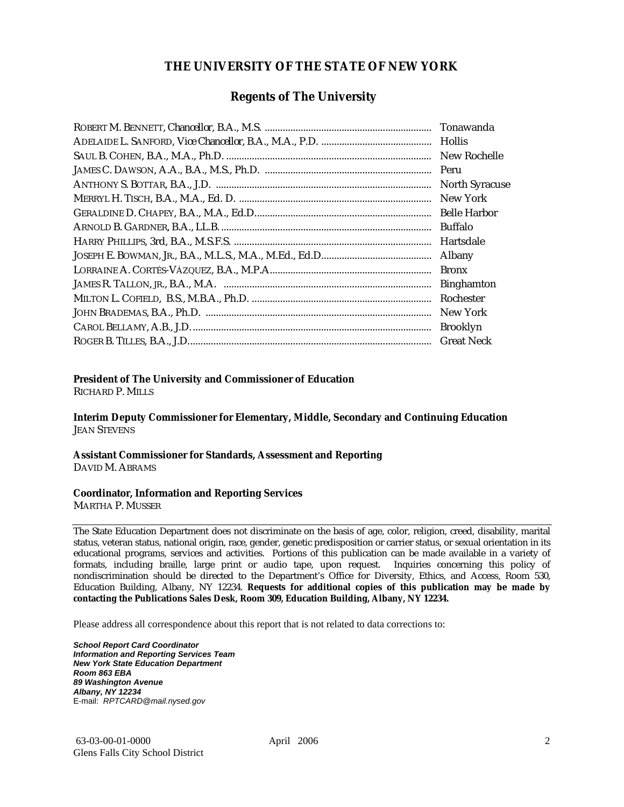### **THE UNIVERSITY OF THE STATE OF NEW YORK**

### **Regents of The University**

| Hollis                |
|-----------------------|
| New Rochelle          |
|                       |
| <b>North Syracuse</b> |
| New York              |
|                       |
| Buffalo               |
| Hartsdale             |
| Albany                |
| <b>Bronx</b>          |
| <b>Binghamton</b>     |
| Rochester             |
| New York              |
| <b>Brooklyn</b>       |
| <b>Great Neck</b>     |

### **President of The University and Commissioner of Education**

RICHARD P. MILLS

**Interim Deputy Commissioner for Elementary, Middle, Secondary and Continuing Education**  JEAN STEVENS

#### **Assistant Commissioner for Standards, Assessment and Reporting**  DAVID M. ABRAMS

#### **Coordinator, Information and Reporting Services**

MARTHA P. MUSSER

The State Education Department does not discriminate on the basis of age, color, religion, creed, disability, marital status, veteran status, national origin, race, gender, genetic predisposition or carrier status, or sexual orientation in its educational programs, services and activities. Portions of this publication can be made available in a variety of formats, including braille, large print or audio tape, upon request. Inquiries concerning this policy of nondiscrimination should be directed to the Department's Office for Diversity, Ethics, and Access, Room 530, Education Building, Albany, NY 12234. **Requests for additional copies of this publication may be made by contacting the Publications Sales Desk, Room 309, Education Building, Albany, NY 12234.** 

Please address all correspondence about this report that is not related to data corrections to:

*School Report Card Coordinator Information and Reporting Services Team New York State Education Department Room 863 EBA 89 Washington Avenue Albany, NY 12234*  E-mail: *RPTCARD@mail.nysed.gov*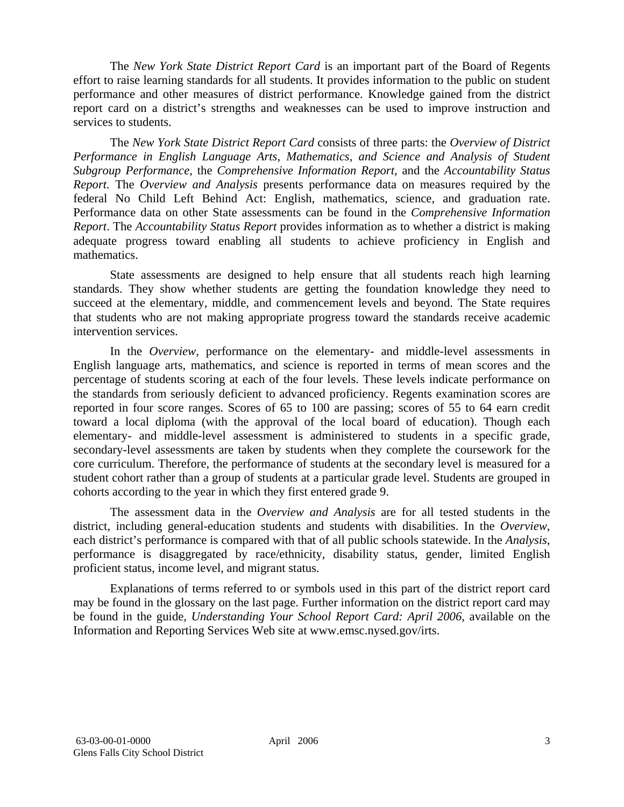The *New York State District Report Card* is an important part of the Board of Regents effort to raise learning standards for all students. It provides information to the public on student performance and other measures of district performance. Knowledge gained from the district report card on a district's strengths and weaknesses can be used to improve instruction and services to students.

The *New York State District Report Card* consists of three parts: the *Overview of District Performance in English Language Arts, Mathematics, and Science and Analysis of Student Subgroup Performance,* the *Comprehensive Information Report,* and the *Accountability Status Report.* The *Overview and Analysis* presents performance data on measures required by the federal No Child Left Behind Act: English, mathematics, science, and graduation rate. Performance data on other State assessments can be found in the *Comprehensive Information Report*. The *Accountability Status Report* provides information as to whether a district is making adequate progress toward enabling all students to achieve proficiency in English and mathematics.

State assessments are designed to help ensure that all students reach high learning standards. They show whether students are getting the foundation knowledge they need to succeed at the elementary, middle, and commencement levels and beyond. The State requires that students who are not making appropriate progress toward the standards receive academic intervention services.

In the *Overview*, performance on the elementary- and middle-level assessments in English language arts, mathematics, and science is reported in terms of mean scores and the percentage of students scoring at each of the four levels. These levels indicate performance on the standards from seriously deficient to advanced proficiency. Regents examination scores are reported in four score ranges. Scores of 65 to 100 are passing; scores of 55 to 64 earn credit toward a local diploma (with the approval of the local board of education). Though each elementary- and middle-level assessment is administered to students in a specific grade, secondary-level assessments are taken by students when they complete the coursework for the core curriculum. Therefore, the performance of students at the secondary level is measured for a student cohort rather than a group of students at a particular grade level. Students are grouped in cohorts according to the year in which they first entered grade 9.

The assessment data in the *Overview and Analysis* are for all tested students in the district, including general-education students and students with disabilities. In the *Overview*, each district's performance is compared with that of all public schools statewide. In the *Analysis*, performance is disaggregated by race/ethnicity, disability status, gender, limited English proficient status, income level, and migrant status.

Explanations of terms referred to or symbols used in this part of the district report card may be found in the glossary on the last page. Further information on the district report card may be found in the guide, *Understanding Your School Report Card: April 2006*, available on the Information and Reporting Services Web site at www.emsc.nysed.gov/irts.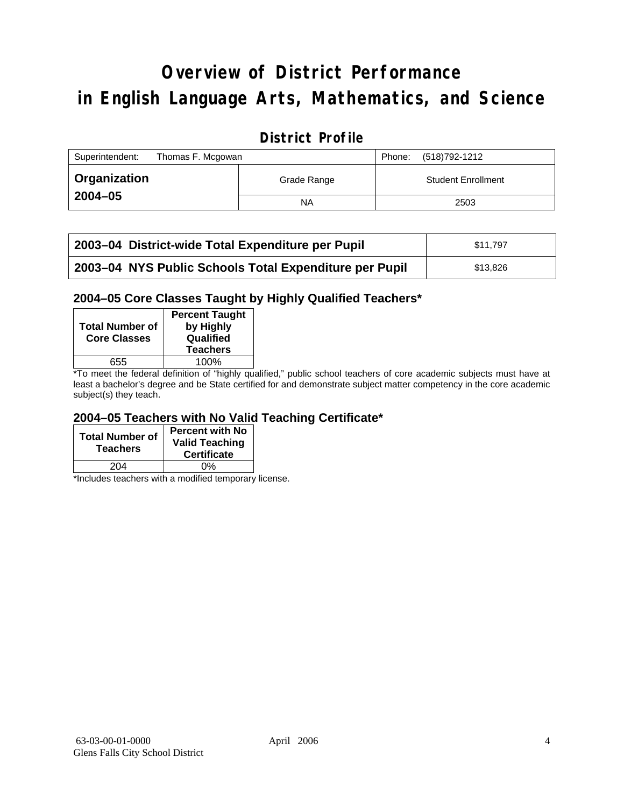# **Overview of District Performance in English Language Arts, Mathematics, and Science**

## **District Profile**

| Superintendent:<br>Thomas F. Mcgowan |             | (518)792-1212<br>Phone:   |
|--------------------------------------|-------------|---------------------------|
| <b>Organization</b>                  | Grade Range | <b>Student Enrollment</b> |
| $2004 - 05$                          | <b>NA</b>   | 2503                      |

| 2003-04 District-wide Total Expenditure per Pupil      | \$11.797 |
|--------------------------------------------------------|----------|
| 2003-04 NYS Public Schools Total Expenditure per Pupil | \$13.826 |

### **2004–05 Core Classes Taught by Highly Qualified Teachers\***

| <b>Total Number of</b><br><b>Core Classes</b> | <b>Percent Taught</b><br>by Highly<br>Qualified<br><b>Teachers</b> |
|-----------------------------------------------|--------------------------------------------------------------------|
| 655                                           | 100%                                                               |
| . .                                           | $\cdots$                                                           |

\*To meet the federal definition of "highly qualified," public school teachers of core academic subjects must have at least a bachelor's degree and be State certified for and demonstrate subject matter competency in the core academic subject(s) they teach.

### **2004–05 Teachers with No Valid Teaching Certificate\***

| <b>Total Number of</b><br><b>Teachers</b> | Percent with No<br><b>Valid Teaching</b><br><b>Certificate</b> |
|-------------------------------------------|----------------------------------------------------------------|
| 204                                       | ሰ%                                                             |

\*Includes teachers with a modified temporary license.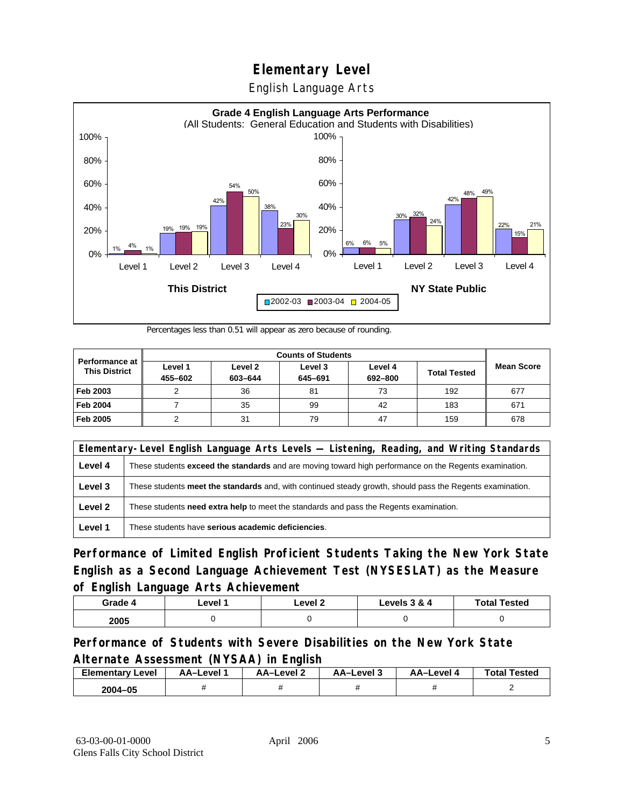English Language Arts



Percentages less than 0.51 will appear as zero because of rounding.

|                                               | <b>Counts of Students</b> |                    |                    |                    |                     |                   |
|-----------------------------------------------|---------------------------|--------------------|--------------------|--------------------|---------------------|-------------------|
| <b>Performance at</b><br><b>This District</b> | Level 1<br>455-602        | Level 2<br>603-644 | Level 3<br>645-691 | Level 4<br>692-800 | <b>Total Tested</b> | <b>Mean Score</b> |
| Feb 2003                                      |                           | 36                 | 81                 | 73                 | 192                 | 677               |
| <b>Feb 2004</b>                               |                           | 35                 | 99                 | 42                 | 183                 | 671               |
| Feb 2005                                      |                           | 31                 | 79                 | 47                 | 159                 | 678               |

|         | Elementary-Level English Language Arts Levels — Listening, Reading, and Writing Standards                     |  |  |  |  |
|---------|---------------------------------------------------------------------------------------------------------------|--|--|--|--|
| Level 4 | These students <b>exceed the standards</b> and are moving toward high performance on the Regents examination. |  |  |  |  |
| Level 3 | These students meet the standards and, with continued steady growth, should pass the Regents examination.     |  |  |  |  |
| Level 2 | These students need extra help to meet the standards and pass the Regents examination.                        |  |  |  |  |
| Level 1 | These students have serious academic deficiencies.                                                            |  |  |  |  |

**Performance of Limited English Proficient Students Taking the New York State English as a Second Language Achievement Test (NYSESLAT) as the Measure of English Language Arts Achievement**

| Grade 4 | ∟evel ′ | Level 2 | Levels 3 & 4 | <b>Total Tested</b> |
|---------|---------|---------|--------------|---------------------|
| 2005    |         |         |              |                     |

### **Performance of Students with Severe Disabilities on the New York State Alternate Assessment (NYSAA) in English**

| <b>Elementary Level</b> | AA-Level | AA-Level 2 | AA-Level 3 | AA–Level 4 | <b>Total Tested</b> |
|-------------------------|----------|------------|------------|------------|---------------------|
| 2004-05                 |          |            |            |            |                     |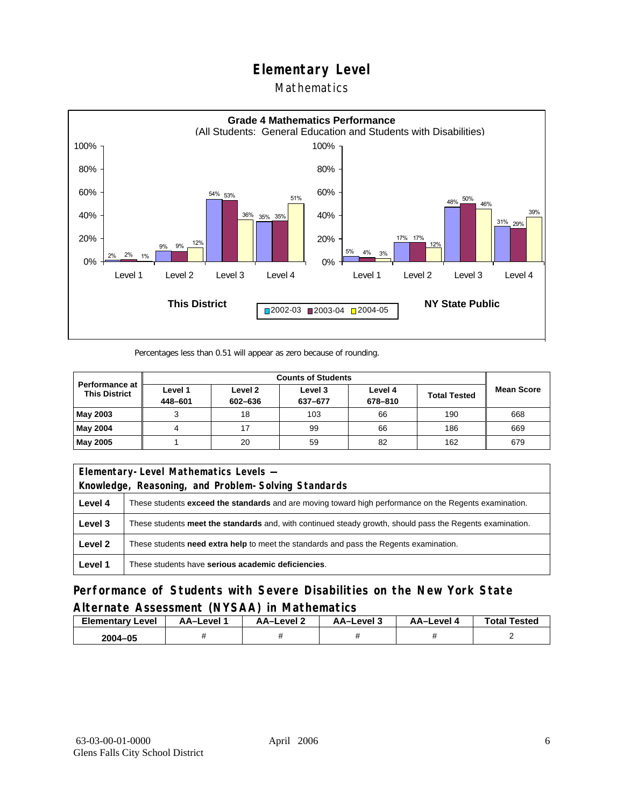### Mathematics



Percentages less than 0.51 will appear as zero because of rounding.

|                                               | <b>Counts of Students</b> |                    |                    |                    |                     |                   |
|-----------------------------------------------|---------------------------|--------------------|--------------------|--------------------|---------------------|-------------------|
| <b>Performance at</b><br><b>This District</b> | Level 1<br>448-601        | Level 2<br>602-636 | Level 3<br>637-677 | Level 4<br>678-810 | <b>Total Tested</b> | <b>Mean Score</b> |
| May 2003                                      |                           | 18                 | 103                | 66                 | 190                 | 668               |
| May 2004                                      |                           |                    | 99                 | 66                 | 186                 | 669               |
| May 2005                                      |                           | 20                 | 59                 | 82                 | 162                 | 679               |

|         | Elementary-Level Mathematics Levels -                                                                         |  |  |  |  |
|---------|---------------------------------------------------------------------------------------------------------------|--|--|--|--|
|         | Knowledge, Reasoning, and Problem-Solving Standards                                                           |  |  |  |  |
| Level 4 | These students <b>exceed the standards</b> and are moving toward high performance on the Regents examination. |  |  |  |  |
| Level 3 | These students meet the standards and, with continued steady growth, should pass the Regents examination.     |  |  |  |  |
| Level 2 | These students <b>need extra help</b> to meet the standards and pass the Regents examination.                 |  |  |  |  |
| Level 1 | These students have serious academic deficiencies.                                                            |  |  |  |  |

**Performance of Students with Severe Disabilities on the New York State Alternate Assessment (NYSAA) in Mathematics** 

| Level<br>Elementary | AA-Level | – AA–Level ∠ | د AA–Level | AA-Level | <b>Total Tested</b> |
|---------------------|----------|--------------|------------|----------|---------------------|
| 2004-05             |          |              |            |          |                     |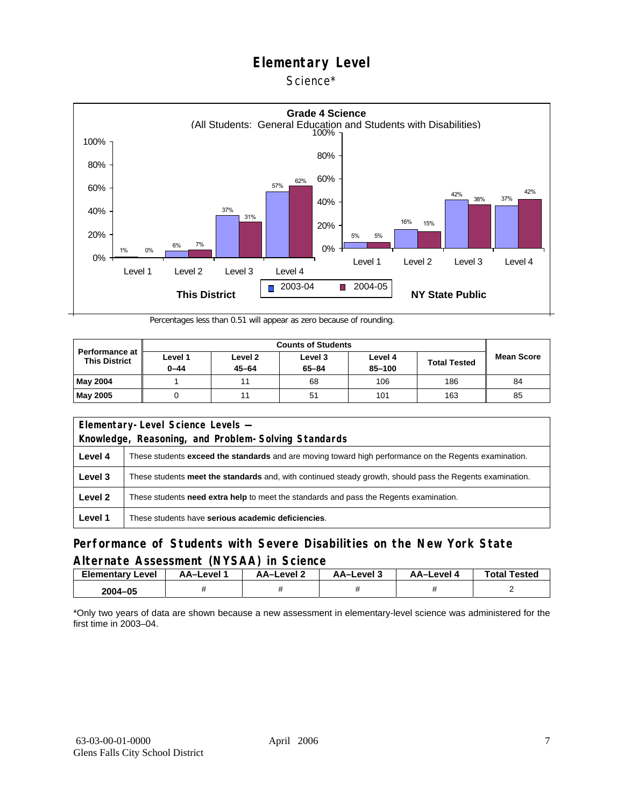### Science\*



Percentages less than 0.51 will appear as zero because of rounding.

| <b>Performance at</b><br><b>This District</b> | Level 1<br>$0 - 44$ | Level <sub>2</sub><br>$45 - 64$ | Level 3<br>$65 - 84$ | Level 4<br>85-100 | <b>Total Tested</b> | <b>Mean Score</b> |
|-----------------------------------------------|---------------------|---------------------------------|----------------------|-------------------|---------------------|-------------------|
| <b>May 2004</b>                               |                     |                                 | 68                   | 106               | 186                 | 84                |
| <b>May 2005</b>                               |                     |                                 | 51                   | 101               | 163                 | 85                |

| Elementary-Level Science Levels -                   |                                                                                                               |  |  |  |  |
|-----------------------------------------------------|---------------------------------------------------------------------------------------------------------------|--|--|--|--|
| Knowledge, Reasoning, and Problem-Solving Standards |                                                                                                               |  |  |  |  |
| Level 4                                             | These students <b>exceed the standards</b> and are moving toward high performance on the Regents examination. |  |  |  |  |
| Level 3                                             | These students meet the standards and, with continued steady growth, should pass the Regents examination.     |  |  |  |  |
| Level 2                                             | These students <b>need extra help</b> to meet the standards and pass the Regents examination.                 |  |  |  |  |
| Level 1                                             | These students have serious academic deficiencies.                                                            |  |  |  |  |

### **Performance of Students with Severe Disabilities on the New York State Alternate Assessment (NYSAA) in Science**

| <b>Elementary Level</b> | AA-Level | <b>AA-Level 2</b> | د AA–Level | AA-Level 4 | <b>Total Tested</b> |
|-------------------------|----------|-------------------|------------|------------|---------------------|
| 2004-05                 |          |                   |            |            |                     |

\*Only two years of data are shown because a new assessment in elementary-level science was administered for the first time in 2003–04.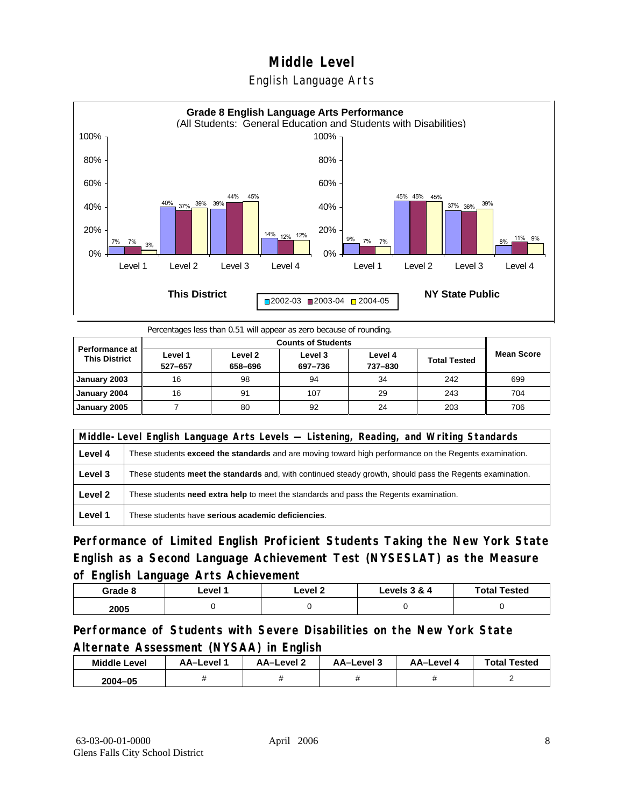## **Middle Level**  English Language Arts



Percentages less than 0.51 will appear as zero because of rounding.

| <b>Performance at</b><br><b>This District</b> | Level 1<br>527-657 | Level 2<br>658-696 | Level 3<br>697-736 | Level 4<br>737-830 | <b>Total Tested</b> | <b>Mean Score</b> |
|-----------------------------------------------|--------------------|--------------------|--------------------|--------------------|---------------------|-------------------|
| January 2003                                  | 16                 | 98                 | 94                 | 34                 | 242                 | 699               |
| January 2004                                  | 16                 | 91                 | 107                | 29                 | 243                 | 704               |
| January 2005                                  |                    | 80                 | 92                 | 24                 | 203                 | 706               |

|         | Middle-Level English Language Arts Levels — Listening, Reading, and Writing Standards                     |  |  |  |  |
|---------|-----------------------------------------------------------------------------------------------------------|--|--|--|--|
| Level 4 | These students exceed the standards and are moving toward high performance on the Regents examination.    |  |  |  |  |
| Level 3 | These students meet the standards and, with continued steady growth, should pass the Regents examination. |  |  |  |  |
| Level 2 | These students need extra help to meet the standards and pass the Regents examination.                    |  |  |  |  |
| Level 1 | These students have serious academic deficiencies.                                                        |  |  |  |  |

**Performance of Limited English Proficient Students Taking the New York State English as a Second Language Achievement Test (NYSESLAT) as the Measure of English Language Arts Achievement**

| Grade 8 | ∟evel <i>*</i> | _evel 2 | Levels 3 & 4 | <b>Total Tested</b> |
|---------|----------------|---------|--------------|---------------------|
| 2005    |                |         |              |                     |

**Performance of Students with Severe Disabilities on the New York State Alternate Assessment (NYSAA) in English** 

| <b>Middle Level</b> | AA–Level | AA-Level 2 | AA-Level 3 | AA-Level 4 | <b>Total Tested</b> |
|---------------------|----------|------------|------------|------------|---------------------|
| $2004 - 05$         |          |            |            |            |                     |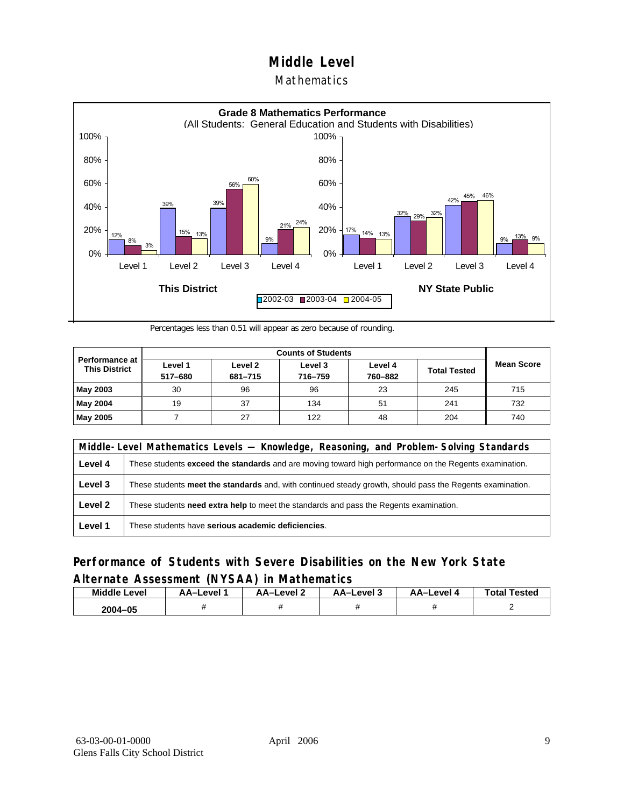### Mathematics



Percentages less than 0.51 will appear as zero because of rounding.

|                                          |                    | <b>Counts of Students</b> |                    |                    |                     |                   |  |  |  |
|------------------------------------------|--------------------|---------------------------|--------------------|--------------------|---------------------|-------------------|--|--|--|
| Performance at I<br><b>This District</b> | Level 1<br>517-680 | Level 2<br>681-715        | Level 3<br>716-759 | Level 4<br>760-882 | <b>Total Tested</b> | <b>Mean Score</b> |  |  |  |
| May 2003                                 | 30                 | 96                        | 96                 | 23                 | 245                 | 715               |  |  |  |
| May 2004                                 | 19                 | 37                        | 134                | 51                 | 241                 | 732               |  |  |  |
| May 2005                                 |                    | 27                        | 122                | 48                 | 204                 | 740               |  |  |  |

|         | Middle-Level Mathematics Levels — Knowledge, Reasoning, and Problem-Solving Standards                     |  |  |  |  |
|---------|-----------------------------------------------------------------------------------------------------------|--|--|--|--|
| Level 4 | These students exceed the standards and are moving toward high performance on the Regents examination.    |  |  |  |  |
| Level 3 | These students meet the standards and, with continued steady growth, should pass the Regents examination. |  |  |  |  |
| Level 2 | These students <b>need extra help</b> to meet the standards and pass the Regents examination.             |  |  |  |  |
| Level 1 | These students have serious academic deficiencies.                                                        |  |  |  |  |

### **Performance of Students with Severe Disabilities on the New York State Alternate Assessment (NYSAA) in Mathematics**

| <b>Middle Level</b> | AA-Level | AA-Level 2 | AA-Level 3 | AA–Level 4 | <b>Total Tested</b> |
|---------------------|----------|------------|------------|------------|---------------------|
| 2004-05             |          |            |            |            |                     |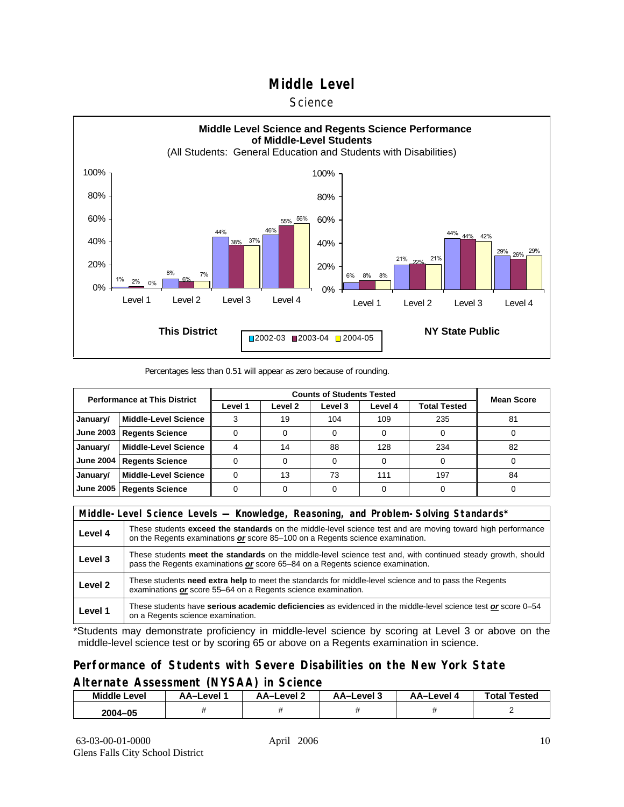#### **Science**



#### Percentages less than 0.51 will appear as zero because of rounding.

| <b>Performance at This District</b> |                             |         | <b>Mean Score</b> |         |         |                     |    |
|-------------------------------------|-----------------------------|---------|-------------------|---------|---------|---------------------|----|
|                                     |                             | Level 1 | Level 2           | Level 3 | Level 4 | <b>Total Tested</b> |    |
| January/                            | <b>Middle-Level Science</b> |         | 19                | 104     | 109     | 235                 | 81 |
| June 2003                           | <b>Regents Science</b>      |         |                   |         |         |                     |    |
| January/                            | <b>Middle-Level Science</b> |         | 14                | 88      | 128     | 234                 | 82 |
| <b>June 2004</b>                    | <b>Regents Science</b>      |         |                   |         |         |                     |    |
| January/                            | <b>Middle-Level Science</b> |         | 13                | 73      | 111     | 197                 | 84 |
| June 2005                           | <b>Regents Science</b>      |         |                   |         |         |                     |    |

|         | Middle-Level Science Levels — Knowledge, Reasoning, and Problem-Solving Standards*                                                                                                                  |  |  |  |  |
|---------|-----------------------------------------------------------------------------------------------------------------------------------------------------------------------------------------------------|--|--|--|--|
| Level 4 | These students <b>exceed the standards</b> on the middle-level science test and are moving toward high performance<br>on the Regents examinations or score 85-100 on a Regents science examination. |  |  |  |  |
| Level 3 | These students meet the standards on the middle-level science test and, with continued steady growth, should<br>pass the Regents examinations or score 65–84 on a Regents science examination.      |  |  |  |  |
| Level 2 | These students need extra help to meet the standards for middle-level science and to pass the Regents<br>examinations or score 55–64 on a Regents science examination.                              |  |  |  |  |
| Level 1 | These students have serious academic deficiencies as evidenced in the middle-level science test or score 0-54<br>on a Regents science examination.                                                  |  |  |  |  |

\*Students may demonstrate proficiency in middle-level science by scoring at Level 3 or above on the middle-level science test or by scoring 65 or above on a Regents examination in science.

### **Performance of Students with Severe Disabilities on the New York State Alternate Assessment (NYSAA) in Science**

| <b>Middle L</b><br>_evel | <b>\A–Level</b> | AA-Level ? | AA-Level 3 | AA-Level 4 | Total<br>Tested |
|--------------------------|-----------------|------------|------------|------------|-----------------|
| 2004-05                  |                 |            |            |            |                 |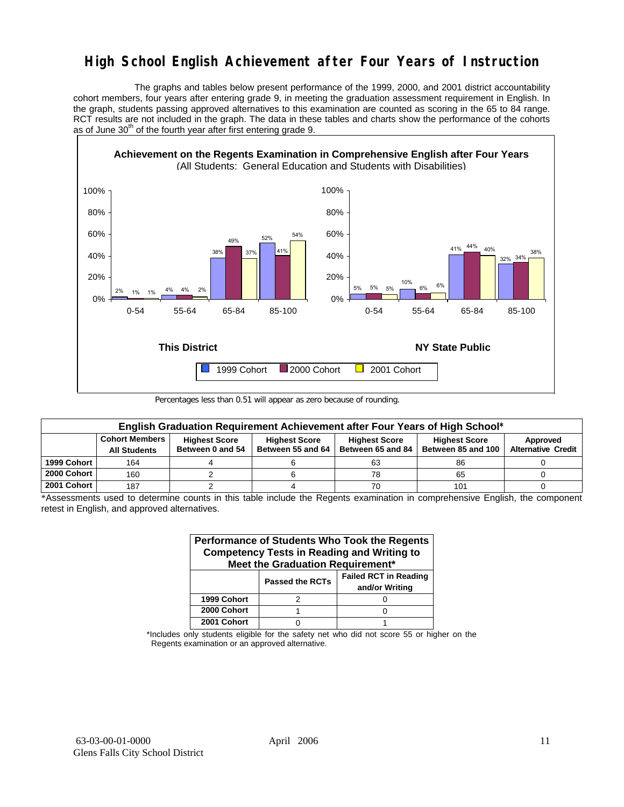## **High School English Achievement after Four Years of Instruction**

 The graphs and tables below present performance of the 1999, 2000, and 2001 district accountability cohort members, four years after entering grade 9, in meeting the graduation assessment requirement in English. In the graph, students passing approved alternatives to this examination are counted as scoring in the 65 to 84 range. RCT results are not included in the graph. The data in these tables and charts show the performance of the cohorts as of June  $30<sup>th</sup>$  of the fourth year after first entering grade 9.



Percentages less than 0.51 will appear as zero because of rounding.

|             | English Graduation Requirement Achievement after Four Years of High School* |                                          |                                           |                                           |                                            |                                       |  |  |  |  |  |  |
|-------------|-----------------------------------------------------------------------------|------------------------------------------|-------------------------------------------|-------------------------------------------|--------------------------------------------|---------------------------------------|--|--|--|--|--|--|
|             | <b>Cohort Members</b><br><b>All Students</b>                                | <b>Highest Score</b><br>Between 0 and 54 | <b>Highest Score</b><br>Between 55 and 64 | <b>Highest Score</b><br>Between 65 and 84 | <b>Highest Score</b><br>Between 85 and 100 | Approved<br><b>Alternative Credit</b> |  |  |  |  |  |  |
| 1999 Cohort | 164                                                                         |                                          |                                           | 63                                        | 86                                         |                                       |  |  |  |  |  |  |
| 2000 Cohort | 160                                                                         |                                          |                                           | 78                                        | 65                                         |                                       |  |  |  |  |  |  |
| 2001 Cohort | 187                                                                         |                                          |                                           | 70                                        | 101                                        |                                       |  |  |  |  |  |  |

\*Assessments used to determine counts in this table include the Regents examination in comprehensive English, the component retest in English, and approved alternatives.

| Performance of Students Who Took the Regents<br><b>Competency Tests in Reading and Writing to</b><br>Meet the Graduation Requirement* |                        |                                                |  |  |  |  |  |  |  |
|---------------------------------------------------------------------------------------------------------------------------------------|------------------------|------------------------------------------------|--|--|--|--|--|--|--|
|                                                                                                                                       | <b>Passed the RCTs</b> | <b>Failed RCT in Reading</b><br>and/or Writing |  |  |  |  |  |  |  |
| 1999 Cohort                                                                                                                           |                        |                                                |  |  |  |  |  |  |  |
| 2000 Cohort                                                                                                                           |                        |                                                |  |  |  |  |  |  |  |
| 2001 Cohort                                                                                                                           |                        |                                                |  |  |  |  |  |  |  |

\*Includes only students eligible for the safety net who did not score 55 or higher on the Regents examination or an approved alternative.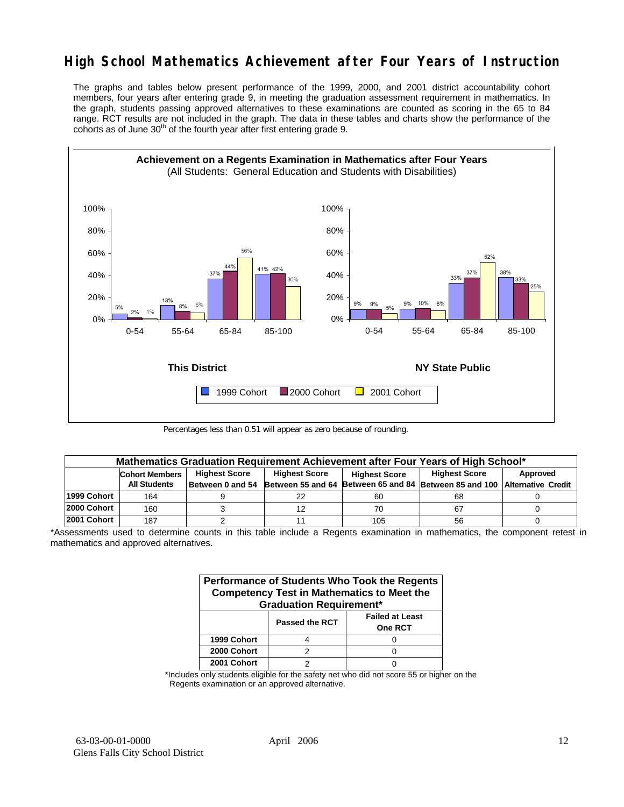## **High School Mathematics Achievement after Four Years of Instruction**

The graphs and tables below present performance of the 1999, 2000, and 2001 district accountability cohort members, four years after entering grade 9, in meeting the graduation assessment requirement in mathematics. In the graph, students passing approved alternatives to these examinations are counted as scoring in the 65 to 84 range. RCT results are not included in the graph. The data in these tables and charts show the performance of the cohorts as of June  $30<sup>th</sup>$  of the fourth year after first entering grade 9.



Percentages less than 0.51 will appear as zero because of rounding.

|             | Mathematics Graduation Requirement Achievement after Four Years of High School* |                      |                                    |                      |                                                         |          |  |  |  |  |  |  |
|-------------|---------------------------------------------------------------------------------|----------------------|------------------------------------|----------------------|---------------------------------------------------------|----------|--|--|--|--|--|--|
|             | <b>Cohort Members</b>                                                           | <b>Highest Score</b> | <b>Highest Score</b>               | <b>Highest Score</b> | <b>Highest Score</b>                                    | Approved |  |  |  |  |  |  |
|             | <b>All Students</b>                                                             |                      | Between 0 and 54 Between 55 and 64 |                      | Between 65 and 84 Between 85 and 100 Alternative Credit |          |  |  |  |  |  |  |
| 1999 Cohort | 164                                                                             |                      |                                    | 60                   | 68                                                      |          |  |  |  |  |  |  |
| 2000 Cohort | 160                                                                             |                      |                                    | 70                   | 67                                                      |          |  |  |  |  |  |  |
| 2001 Cohort | 187                                                                             |                      |                                    | 105                  | 56                                                      |          |  |  |  |  |  |  |

\*Assessments used to determine counts in this table include a Regents examination in mathematics, the component retest in mathematics and approved alternatives.

| Performance of Students Who Took the Regents<br><b>Competency Test in Mathematics to Meet the</b><br><b>Graduation Requirement*</b> |                       |                                          |  |  |  |  |  |  |
|-------------------------------------------------------------------------------------------------------------------------------------|-----------------------|------------------------------------------|--|--|--|--|--|--|
|                                                                                                                                     | <b>Passed the RCT</b> | <b>Failed at Least</b><br><b>One RCT</b> |  |  |  |  |  |  |
| 1999 Cohort                                                                                                                         |                       |                                          |  |  |  |  |  |  |
| 2000 Cohort                                                                                                                         |                       |                                          |  |  |  |  |  |  |
| 2001 Cohort                                                                                                                         |                       |                                          |  |  |  |  |  |  |

\*Includes only students eligible for the safety net who did not score 55 or higher on the Regents examination or an approved alternative.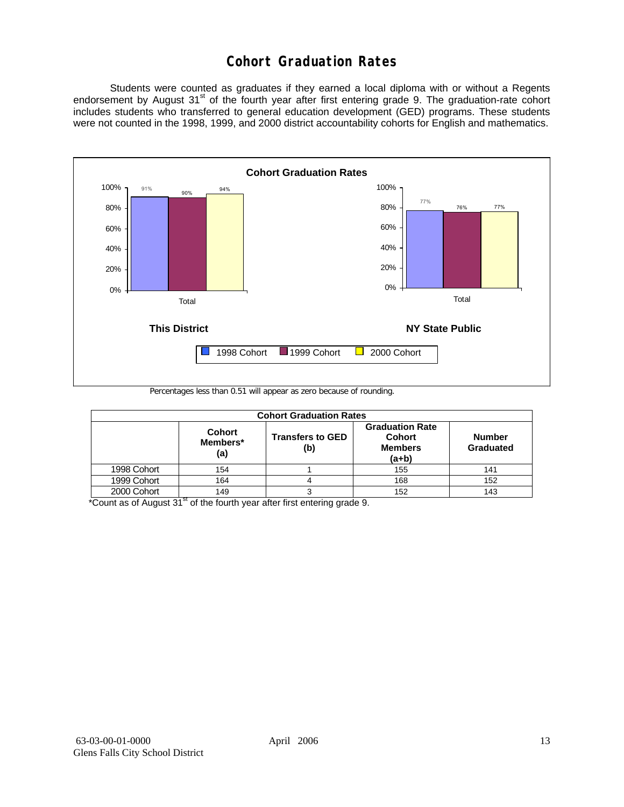## **Cohort Graduation Rates**

 Students were counted as graduates if they earned a local diploma with or without a Regents endorsement by August 31<sup>st</sup> of the fourth year after first entering grade 9. The graduation-rate cohort includes students who transferred to general education development (GED) programs. These students were not counted in the 1998, 1999, and 2000 district accountability cohorts for English and mathematics.



Percentages less than 0.51 will appear as zero because of rounding.

| <b>Cohort Graduation Rates</b> |                                  |                                |                                                                      |                            |  |  |  |  |  |  |
|--------------------------------|----------------------------------|--------------------------------|----------------------------------------------------------------------|----------------------------|--|--|--|--|--|--|
|                                | <b>Cohort</b><br>Members*<br>(a) | <b>Transfers to GED</b><br>(b) | <b>Graduation Rate</b><br><b>Cohort</b><br><b>Members</b><br>$(a+b)$ | <b>Number</b><br>Graduated |  |  |  |  |  |  |
| 1998 Cohort                    | 154                              |                                | 155                                                                  | 141                        |  |  |  |  |  |  |
| 1999 Cohort                    | 164                              |                                | 168                                                                  | 152                        |  |  |  |  |  |  |
| 2000 Cohort                    | 149                              |                                | 152                                                                  | 143                        |  |  |  |  |  |  |

 $*$ Count as of August 31 $*$  of the fourth year after first entering grade 9.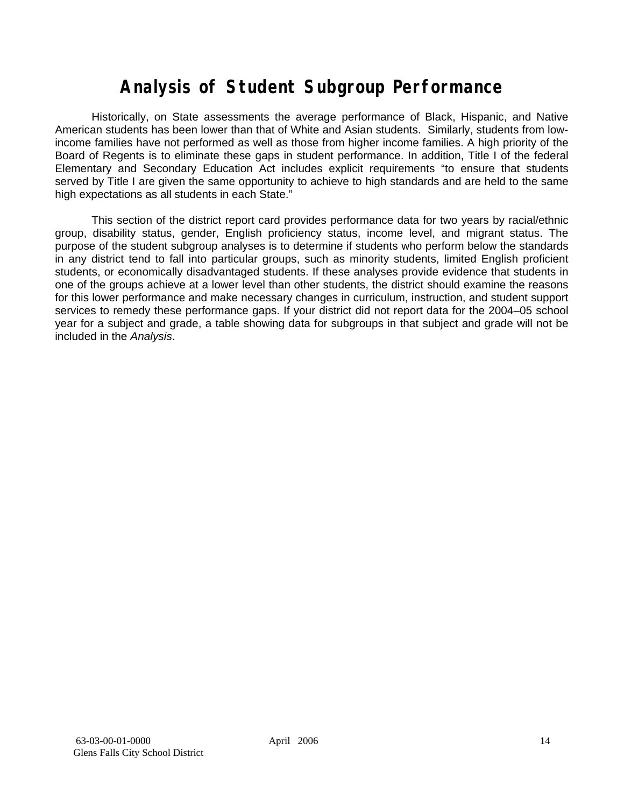# **Analysis of Student Subgroup Performance**

Historically, on State assessments the average performance of Black, Hispanic, and Native American students has been lower than that of White and Asian students. Similarly, students from lowincome families have not performed as well as those from higher income families. A high priority of the Board of Regents is to eliminate these gaps in student performance. In addition, Title I of the federal Elementary and Secondary Education Act includes explicit requirements "to ensure that students served by Title I are given the same opportunity to achieve to high standards and are held to the same high expectations as all students in each State."

This section of the district report card provides performance data for two years by racial/ethnic group, disability status, gender, English proficiency status, income level, and migrant status. The purpose of the student subgroup analyses is to determine if students who perform below the standards in any district tend to fall into particular groups, such as minority students, limited English proficient students, or economically disadvantaged students. If these analyses provide evidence that students in one of the groups achieve at a lower level than other students, the district should examine the reasons for this lower performance and make necessary changes in curriculum, instruction, and student support services to remedy these performance gaps. If your district did not report data for the 2004–05 school year for a subject and grade, a table showing data for subgroups in that subject and grade will not be included in the *Analysis*.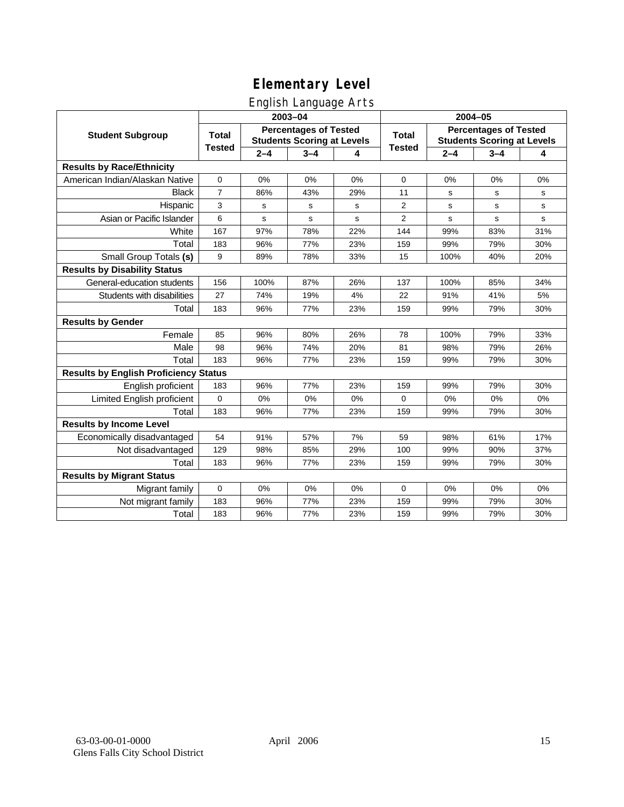## English Language Arts

|                                              |                |         | ັ<br>2003-04                                                      |     | 2004-05       |             |                                                                   |             |
|----------------------------------------------|----------------|---------|-------------------------------------------------------------------|-----|---------------|-------------|-------------------------------------------------------------------|-------------|
| <b>Student Subgroup</b>                      | <b>Total</b>   |         | <b>Percentages of Tested</b><br><b>Students Scoring at Levels</b> |     | <b>Total</b>  |             | <b>Percentages of Tested</b><br><b>Students Scoring at Levels</b> |             |
|                                              | <b>Tested</b>  | $2 - 4$ | $3 - 4$                                                           | 4   | <b>Tested</b> | $2 - 4$     | $3 - 4$                                                           | 4           |
| <b>Results by Race/Ethnicity</b>             |                |         |                                                                   |     |               |             |                                                                   |             |
| American Indian/Alaskan Native               | $\pmb{0}$      | 0%      | 0%                                                                | 0%  | $\mathbf 0$   | 0%          | 0%                                                                | 0%          |
| <b>Black</b>                                 | $\overline{7}$ | 86%     | 43%                                                               | 29% | 11            | s           | s                                                                 | s           |
| Hispanic                                     | 3              | s       | s                                                                 | s   | 2             | $\mathbf s$ | s                                                                 | ${\tt s}$   |
| Asian or Pacific Islander                    | 6              | s       | s                                                                 | s   | 2             | s           | s                                                                 | $\mathbf s$ |
| White                                        | 167            | 97%     | 78%                                                               | 22% | 144           | 99%         | 83%                                                               | 31%         |
| Total                                        | 183            | 96%     | 77%                                                               | 23% | 159           | 99%         | 79%                                                               | 30%         |
| Small Group Totals (s)                       | 9              | 89%     | 78%                                                               | 33% | 15            | 100%        | 40%                                                               | 20%         |
| <b>Results by Disability Status</b>          |                |         |                                                                   |     |               |             |                                                                   |             |
| General-education students                   | 156            | 100%    | 87%                                                               | 26% | 137           | 100%        | 85%                                                               | 34%         |
| Students with disabilities                   | 27             | 74%     | 19%                                                               | 4%  | 22            | 91%         | 41%                                                               | 5%          |
| Total                                        | 183            | 96%     | 77%                                                               | 23% | 159           | 99%         | 79%                                                               | 30%         |
| <b>Results by Gender</b>                     |                |         |                                                                   |     |               |             |                                                                   |             |
| Female                                       | 85             | 96%     | 80%                                                               | 26% | 78            | 100%        | 79%                                                               | 33%         |
| Male                                         | 98             | 96%     | 74%                                                               | 20% | 81            | 98%         | 79%                                                               | 26%         |
| Total                                        | 183            | 96%     | 77%                                                               | 23% | 159           | 99%         | 79%                                                               | 30%         |
| <b>Results by English Proficiency Status</b> |                |         |                                                                   |     |               |             |                                                                   |             |
| English proficient                           | 183            | 96%     | 77%                                                               | 23% | 159           | 99%         | 79%                                                               | 30%         |
| Limited English proficient                   | 0              | 0%      | 0%                                                                | 0%  | $\Omega$      | 0%          | 0%                                                                | 0%          |
| Total                                        | 183            | 96%     | 77%                                                               | 23% | 159           | 99%         | 79%                                                               | 30%         |
| <b>Results by Income Level</b>               |                |         |                                                                   |     |               |             |                                                                   |             |
| Economically disadvantaged                   | 54             | 91%     | 57%                                                               | 7%  | 59            | 98%         | 61%                                                               | 17%         |
| Not disadvantaged                            | 129            | 98%     | 85%                                                               | 29% | 100           | 99%         | 90%                                                               | 37%         |
| Total                                        | 183            | 96%     | 77%                                                               | 23% | 159           | 99%         | 79%                                                               | 30%         |
| <b>Results by Migrant Status</b>             |                |         |                                                                   |     |               |             |                                                                   |             |
| Migrant family                               | $\mathbf 0$    | 0%      | 0%                                                                | 0%  | $\mathbf 0$   | 0%          | 0%                                                                | 0%          |
| Not migrant family                           | 183            | 96%     | 77%                                                               | 23% | 159           | 99%         | 79%                                                               | 30%         |
| Total                                        | 183            | 96%     | 77%                                                               | 23% | 159           | 99%         | 79%                                                               | 30%         |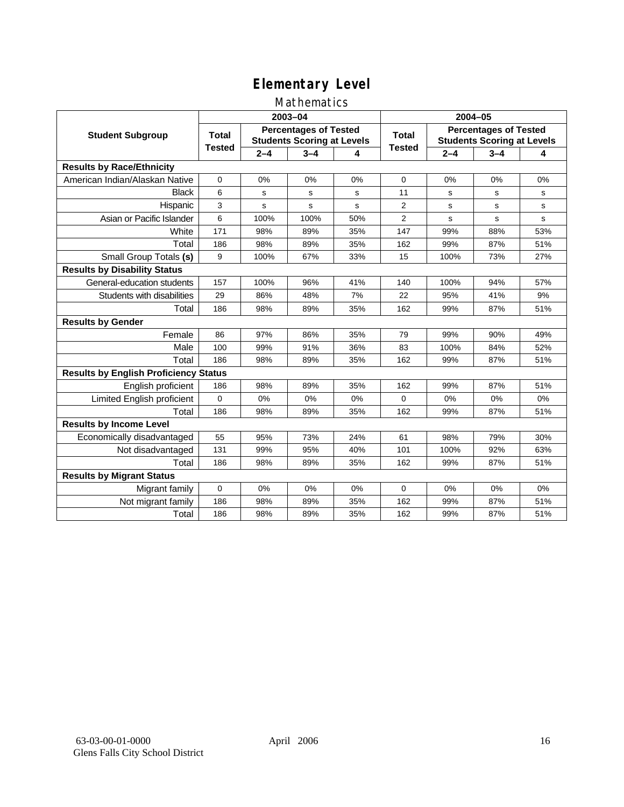### Mathematics

|                                              |               |         | 2003-04                                                           |     | 2004-05        |             |                                                                   |     |  |
|----------------------------------------------|---------------|---------|-------------------------------------------------------------------|-----|----------------|-------------|-------------------------------------------------------------------|-----|--|
| <b>Student Subgroup</b>                      | <b>Total</b>  |         | <b>Percentages of Tested</b><br><b>Students Scoring at Levels</b> |     | Total          |             | <b>Percentages of Tested</b><br><b>Students Scoring at Levels</b> |     |  |
|                                              | <b>Tested</b> | $2 - 4$ | $3 - 4$                                                           | 4   | <b>Tested</b>  | $2 - 4$     | $3 - 4$                                                           | 4   |  |
| <b>Results by Race/Ethnicity</b>             |               |         |                                                                   |     |                |             |                                                                   |     |  |
| American Indian/Alaskan Native               | $\mathbf{0}$  | 0%      | 0%                                                                | 0%  | $\mathbf 0$    | 0%          | 0%                                                                | 0%  |  |
| <b>Black</b>                                 | 6             | s       | s                                                                 | s   | 11             | s           | s                                                                 | s   |  |
| Hispanic                                     | 3             | s       | s                                                                 | s   | $\overline{2}$ | s           | s                                                                 | s   |  |
| Asian or Pacific Islander                    | 6             | 100%    | 100%                                                              | 50% | $\overline{2}$ | $\mathbf s$ | s                                                                 | s   |  |
| White                                        | 171           | 98%     | 89%                                                               | 35% | 147            | 99%         | 88%                                                               | 53% |  |
| Total                                        | 186           | 98%     | 89%                                                               | 35% | 162            | 99%         | 87%                                                               | 51% |  |
| Small Group Totals (s)                       | 9             | 100%    | 67%                                                               | 33% | 15             | 100%        | 73%                                                               | 27% |  |
| <b>Results by Disability Status</b>          |               |         |                                                                   |     |                |             |                                                                   |     |  |
| General-education students                   | 157           | 100%    | 96%                                                               | 41% | 140            | 100%        | 94%                                                               | 57% |  |
| Students with disabilities                   | 29            | 86%     | 48%                                                               | 7%  | 22             | 95%         | 41%                                                               | 9%  |  |
| Total                                        | 186           | 98%     | 89%                                                               | 35% | 162            | 99%         | 87%                                                               | 51% |  |
| <b>Results by Gender</b>                     |               |         |                                                                   |     |                |             |                                                                   |     |  |
| Female                                       | 86            | 97%     | 86%                                                               | 35% | 79             | 99%         | 90%                                                               | 49% |  |
| Male                                         | 100           | 99%     | 91%                                                               | 36% | 83             | 100%        | 84%                                                               | 52% |  |
| Total                                        | 186           | 98%     | 89%                                                               | 35% | 162            | 99%         | 87%                                                               | 51% |  |
| <b>Results by English Proficiency Status</b> |               |         |                                                                   |     |                |             |                                                                   |     |  |
| English proficient                           | 186           | 98%     | 89%                                                               | 35% | 162            | 99%         | 87%                                                               | 51% |  |
| Limited English proficient                   | 0             | 0%      | 0%                                                                | 0%  | $\Omega$       | 0%          | 0%                                                                | 0%  |  |
| Total                                        | 186           | 98%     | 89%                                                               | 35% | 162            | 99%         | 87%                                                               | 51% |  |
| <b>Results by Income Level</b>               |               |         |                                                                   |     |                |             |                                                                   |     |  |
| Economically disadvantaged                   | 55            | 95%     | 73%                                                               | 24% | 61             | 98%         | 79%                                                               | 30% |  |
| Not disadvantaged                            | 131           | 99%     | 95%                                                               | 40% | 101            | 100%        | 92%                                                               | 63% |  |
| Total                                        | 186           | 98%     | 89%                                                               | 35% | 162            | 99%         | 87%                                                               | 51% |  |
| <b>Results by Migrant Status</b>             |               |         |                                                                   |     |                |             |                                                                   |     |  |
| Migrant family                               | 0             | 0%      | 0%                                                                | 0%  | $\Omega$       | 0%          | 0%                                                                | 0%  |  |
| Not migrant family                           | 186           | 98%     | 89%                                                               | 35% | 162            | 99%         | 87%                                                               | 51% |  |
| Total                                        | 186           | 98%     | 89%                                                               | 35% | 162            | 99%         | 87%                                                               | 51% |  |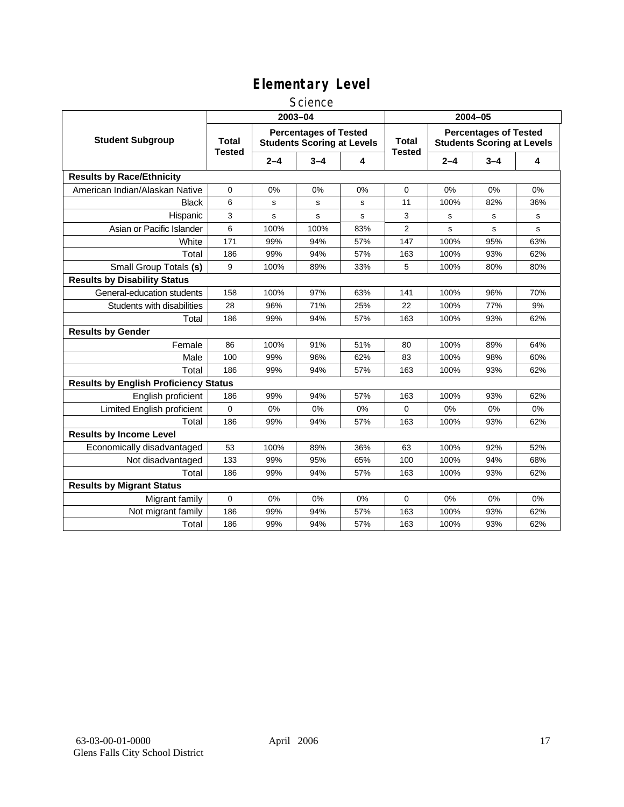### **Science**

|                                              | 2003-04                |         |                                                                   |     | 2004-05                       |                                                                   |         |     |  |
|----------------------------------------------|------------------------|---------|-------------------------------------------------------------------|-----|-------------------------------|-------------------------------------------------------------------|---------|-----|--|
| <b>Student Subgroup</b>                      | Total<br><b>Tested</b> |         | <b>Percentages of Tested</b><br><b>Students Scoring at Levels</b> |     | <b>Total</b><br><b>Tested</b> | <b>Percentages of Tested</b><br><b>Students Scoring at Levels</b> |         |     |  |
|                                              |                        | $2 - 4$ | $3 - 4$                                                           | 4   |                               | $2 - 4$                                                           | $3 - 4$ | 4   |  |
| <b>Results by Race/Ethnicity</b>             |                        |         |                                                                   |     |                               |                                                                   |         |     |  |
| American Indian/Alaskan Native               | 0                      | 0%      | 0%                                                                | 0%  | 0                             | 0%                                                                | 0%      | 0%  |  |
| <b>Black</b>                                 | 6                      | s       | s                                                                 | s   | 11                            | 100%                                                              | 82%     | 36% |  |
| Hispanic                                     | 3                      | s       | s                                                                 | s   | 3                             | s                                                                 | s       | s   |  |
| Asian or Pacific Islander                    | 6                      | 100%    | 100%                                                              | 83% | $\overline{2}$                | s                                                                 | s       | s   |  |
| White                                        | 171                    | 99%     | 94%                                                               | 57% | 147                           | 100%                                                              | 95%     | 63% |  |
| Total                                        | 186                    | 99%     | 94%                                                               | 57% | 163                           | 100%                                                              | 93%     | 62% |  |
| Small Group Totals (s)                       | 9                      | 100%    | 89%                                                               | 33% | 5                             | 100%                                                              | 80%     | 80% |  |
| <b>Results by Disability Status</b>          |                        |         |                                                                   |     |                               |                                                                   |         |     |  |
| General-education students                   | 158                    | 100%    | 97%                                                               | 63% | 141                           | 100%                                                              | 96%     | 70% |  |
| Students with disabilities                   | 28                     | 96%     | 71%                                                               | 25% | 22                            | 100%                                                              | 77%     | 9%  |  |
| Total                                        | 186                    | 99%     | 94%                                                               | 57% | 163                           | 100%                                                              | 93%     | 62% |  |
| <b>Results by Gender</b>                     |                        |         |                                                                   |     |                               |                                                                   |         |     |  |
| Female                                       | 86                     | 100%    | 91%                                                               | 51% | 80                            | 100%                                                              | 89%     | 64% |  |
| Male                                         | 100                    | 99%     | 96%                                                               | 62% | 83                            | 100%                                                              | 98%     | 60% |  |
| Total                                        | 186                    | 99%     | 94%                                                               | 57% | 163                           | 100%                                                              | 93%     | 62% |  |
| <b>Results by English Proficiency Status</b> |                        |         |                                                                   |     |                               |                                                                   |         |     |  |
| English proficient                           | 186                    | 99%     | 94%                                                               | 57% | 163                           | 100%                                                              | 93%     | 62% |  |
| Limited English proficient                   | 0                      | 0%      | 0%                                                                | 0%  | $\mathbf 0$                   | 0%                                                                | 0%      | 0%  |  |
| Total                                        | 186                    | 99%     | 94%                                                               | 57% | 163                           | 100%                                                              | 93%     | 62% |  |
| <b>Results by Income Level</b>               |                        |         |                                                                   |     |                               |                                                                   |         |     |  |
| Economically disadvantaged                   | 53                     | 100%    | 89%                                                               | 36% | 63                            | 100%                                                              | 92%     | 52% |  |
| Not disadvantaged                            | 133                    | 99%     | 95%                                                               | 65% | 100                           | 100%                                                              | 94%     | 68% |  |
| Total                                        | 186                    | 99%     | 94%                                                               | 57% | 163                           | 100%                                                              | 93%     | 62% |  |
| <b>Results by Migrant Status</b>             |                        |         |                                                                   |     |                               |                                                                   |         |     |  |
| Migrant family                               | 0                      | 0%      | $0\%$                                                             | 0%  | $\mathbf 0$                   | 0%                                                                | 0%      | 0%  |  |
| Not migrant family                           | 186                    | 99%     | 94%                                                               | 57% | 163                           | 100%                                                              | 93%     | 62% |  |
| Total                                        | 186                    | 99%     | 94%                                                               | 57% | 163                           | 100%                                                              | 93%     | 62% |  |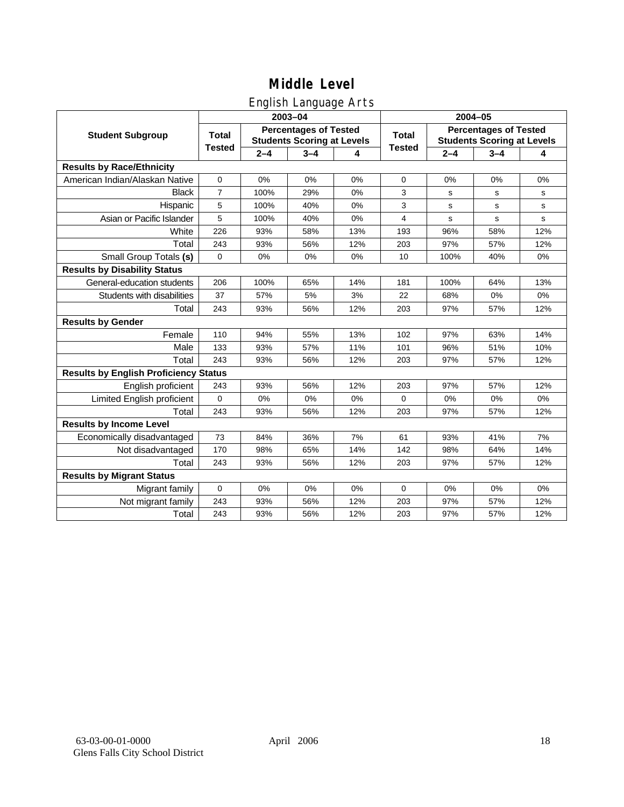## English Language Arts

|                                              |                |         | ັ<br>2003-04                                                      |     | 2004-05       |         |                                                                   |             |  |
|----------------------------------------------|----------------|---------|-------------------------------------------------------------------|-----|---------------|---------|-------------------------------------------------------------------|-------------|--|
| <b>Student Subgroup</b>                      | <b>Total</b>   |         | <b>Percentages of Tested</b><br><b>Students Scoring at Levels</b> |     | <b>Total</b>  |         | <b>Percentages of Tested</b><br><b>Students Scoring at Levels</b> |             |  |
|                                              | <b>Tested</b>  | $2 - 4$ | $3 - 4$                                                           | 4   | <b>Tested</b> | $2 - 4$ | $3 - 4$                                                           | 4           |  |
| <b>Results by Race/Ethnicity</b>             |                |         |                                                                   |     |               |         |                                                                   |             |  |
| American Indian/Alaskan Native               | $\mathbf 0$    | 0%      | 0%                                                                | 0%  | 0             | 0%      | 0%                                                                | 0%          |  |
| <b>Black</b>                                 | $\overline{7}$ | 100%    | 29%                                                               | 0%  | 3             | s       | s                                                                 | s           |  |
| Hispanic                                     | 5              | 100%    | 40%                                                               | 0%  | 3             | s       | s                                                                 | s           |  |
| Asian or Pacific Islander                    | 5              | 100%    | 40%                                                               | 0%  | 4             | s       | s                                                                 | $\mathbf s$ |  |
| White                                        | 226            | 93%     | 58%                                                               | 13% | 193           | 96%     | 58%                                                               | 12%         |  |
| Total                                        | 243            | 93%     | 56%                                                               | 12% | 203           | 97%     | 57%                                                               | 12%         |  |
| Small Group Totals (s)                       | $\Omega$       | 0%      | 0%                                                                | 0%  | 10            | 100%    | 40%                                                               | 0%          |  |
| <b>Results by Disability Status</b>          |                |         |                                                                   |     |               |         |                                                                   |             |  |
| General-education students                   | 206            | 100%    | 65%                                                               | 14% | 181           | 100%    | 64%                                                               | 13%         |  |
| Students with disabilities                   | 37             | 57%     | 5%                                                                | 3%  | 22            | 68%     | 0%                                                                | 0%          |  |
| Total                                        | 243            | 93%     | 56%                                                               | 12% | 203           | 97%     | 57%                                                               | 12%         |  |
| <b>Results by Gender</b>                     |                |         |                                                                   |     |               |         |                                                                   |             |  |
| Female                                       | 110            | 94%     | 55%                                                               | 13% | 102           | 97%     | 63%                                                               | 14%         |  |
| Male                                         | 133            | 93%     | 57%                                                               | 11% | 101           | 96%     | 51%                                                               | 10%         |  |
| Total                                        | 243            | 93%     | 56%                                                               | 12% | 203           | 97%     | 57%                                                               | 12%         |  |
| <b>Results by English Proficiency Status</b> |                |         |                                                                   |     |               |         |                                                                   |             |  |
| English proficient                           | 243            | 93%     | 56%                                                               | 12% | 203           | 97%     | 57%                                                               | 12%         |  |
| Limited English proficient                   | $\mathbf 0$    | 0%      | 0%                                                                | 0%  | 0             | 0%      | 0%                                                                | 0%          |  |
| Total                                        | 243            | 93%     | 56%                                                               | 12% | 203           | 97%     | 57%                                                               | 12%         |  |
| <b>Results by Income Level</b>               |                |         |                                                                   |     |               |         |                                                                   |             |  |
| Economically disadvantaged                   | 73             | 84%     | 36%                                                               | 7%  | 61            | 93%     | 41%                                                               | 7%          |  |
| Not disadvantaged                            | 170            | 98%     | 65%                                                               | 14% | 142           | 98%     | 64%                                                               | 14%         |  |
| Total                                        | 243            | 93%     | 56%                                                               | 12% | 203           | 97%     | 57%                                                               | 12%         |  |
| <b>Results by Migrant Status</b>             |                |         |                                                                   |     |               |         |                                                                   |             |  |
| Migrant family                               | $\mathbf 0$    | 0%      | 0%                                                                | 0%  | 0             | 0%      | 0%                                                                | 0%          |  |
| Not migrant family                           | 243            | 93%     | 56%                                                               | 12% | 203           | 97%     | 57%                                                               | 12%         |  |
| Total                                        | 243            | 93%     | 56%                                                               | 12% | 203           | 97%     | 57%                                                               | 12%         |  |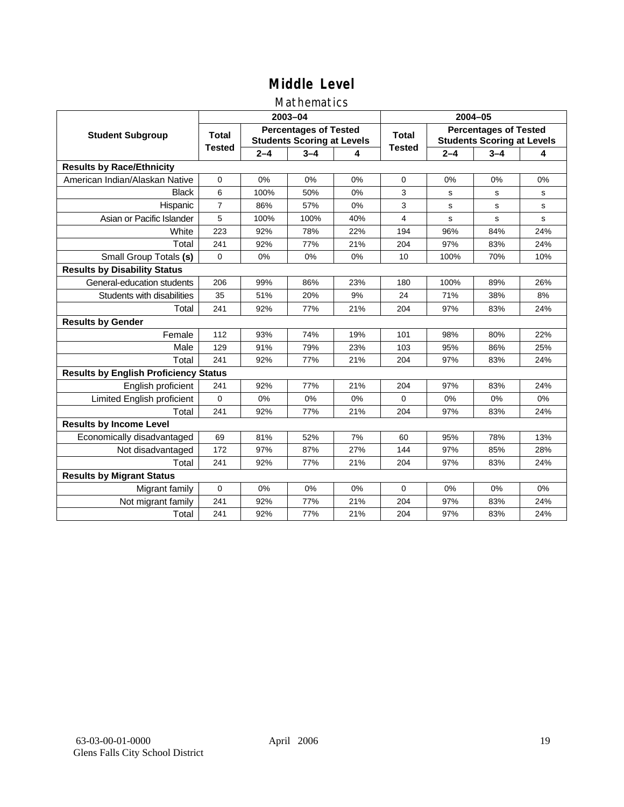### Mathematics

|                                              |                |         | 2003-04                                                           |     | 2004-05       |         |                                                                   |     |  |
|----------------------------------------------|----------------|---------|-------------------------------------------------------------------|-----|---------------|---------|-------------------------------------------------------------------|-----|--|
| <b>Student Subgroup</b>                      | <b>Total</b>   |         | <b>Percentages of Tested</b><br><b>Students Scoring at Levels</b> |     | Total         |         | <b>Percentages of Tested</b><br><b>Students Scoring at Levels</b> |     |  |
|                                              | <b>Tested</b>  | $2 - 4$ | $3 - 4$                                                           | 4   | <b>Tested</b> | $2 - 4$ | $3 - 4$                                                           | 4   |  |
| <b>Results by Race/Ethnicity</b>             |                |         |                                                                   |     |               |         |                                                                   |     |  |
| American Indian/Alaskan Native               | $\mathbf{0}$   | 0%      | 0%                                                                | 0%  | $\mathbf 0$   | 0%      | 0%                                                                | 0%  |  |
| <b>Black</b>                                 | 6              | 100%    | 50%                                                               | 0%  | 3             | s       | s                                                                 | s   |  |
| Hispanic                                     | $\overline{7}$ | 86%     | 57%                                                               | 0%  | 3             | s       | s                                                                 | s   |  |
| Asian or Pacific Islander                    | 5              | 100%    | 100%                                                              | 40% | 4             | s       | $\mathbf s$                                                       | s   |  |
| White                                        | 223            | 92%     | 78%                                                               | 22% | 194           | 96%     | 84%                                                               | 24% |  |
| Total                                        | 241            | 92%     | 77%                                                               | 21% | 204           | 97%     | 83%                                                               | 24% |  |
| Small Group Totals (s)                       | $\Omega$       | 0%      | 0%                                                                | 0%  | 10            | 100%    | 70%                                                               | 10% |  |
| <b>Results by Disability Status</b>          |                |         |                                                                   |     |               |         |                                                                   |     |  |
| General-education students                   | 206            | 99%     | 86%                                                               | 23% | 180           | 100%    | 89%                                                               | 26% |  |
| Students with disabilities                   | 35             | 51%     | 20%                                                               | 9%  | 24            | 71%     | 38%                                                               | 8%  |  |
| Total                                        | 241            | 92%     | 77%                                                               | 21% | 204           | 97%     | 83%                                                               | 24% |  |
| <b>Results by Gender</b>                     |                |         |                                                                   |     |               |         |                                                                   |     |  |
| Female                                       | 112            | 93%     | 74%                                                               | 19% | 101           | 98%     | 80%                                                               | 22% |  |
| Male                                         | 129            | 91%     | 79%                                                               | 23% | 103           | 95%     | 86%                                                               | 25% |  |
| Total                                        | 241            | 92%     | 77%                                                               | 21% | 204           | 97%     | 83%                                                               | 24% |  |
| <b>Results by English Proficiency Status</b> |                |         |                                                                   |     |               |         |                                                                   |     |  |
| English proficient                           | 241            | 92%     | 77%                                                               | 21% | 204           | 97%     | 83%                                                               | 24% |  |
| Limited English proficient                   | 0              | 0%      | 0%                                                                | 0%  | $\Omega$      | 0%      | 0%                                                                | 0%  |  |
| Total                                        | 241            | 92%     | 77%                                                               | 21% | 204           | 97%     | 83%                                                               | 24% |  |
| <b>Results by Income Level</b>               |                |         |                                                                   |     |               |         |                                                                   |     |  |
| Economically disadvantaged                   | 69             | 81%     | 52%                                                               | 7%  | 60            | 95%     | 78%                                                               | 13% |  |
| Not disadvantaged                            | 172            | 97%     | 87%                                                               | 27% | 144           | 97%     | 85%                                                               | 28% |  |
| Total                                        | 241            | 92%     | 77%                                                               | 21% | 204           | 97%     | 83%                                                               | 24% |  |
| <b>Results by Migrant Status</b>             |                |         |                                                                   |     |               |         |                                                                   |     |  |
| Migrant family                               | 0              | 0%      | 0%                                                                | 0%  | $\Omega$      | 0%      | 0%                                                                | 0%  |  |
| Not migrant family                           | 241            | 92%     | 77%                                                               | 21% | 204           | 97%     | 83%                                                               | 24% |  |
| Total                                        | 241            | 92%     | 77%                                                               | 21% | 204           | 97%     | 83%                                                               | 24% |  |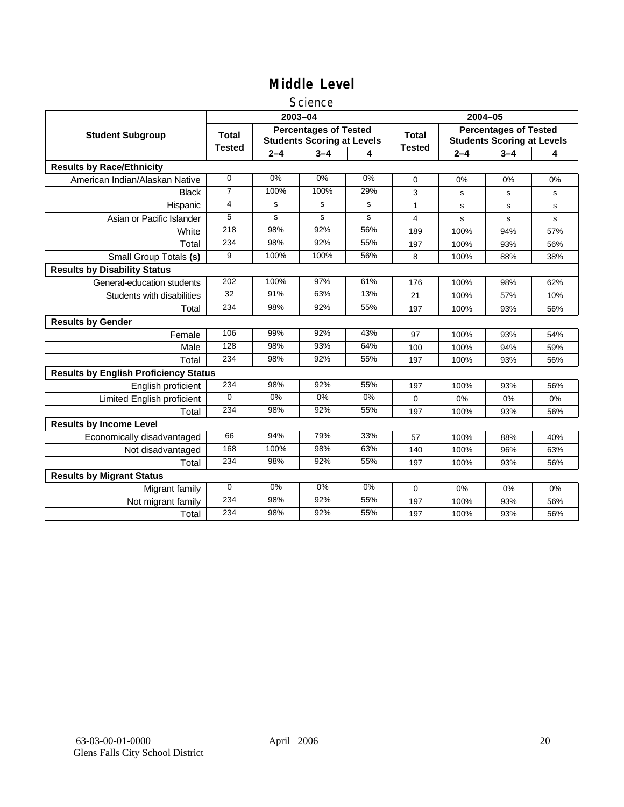### **Science**

|                                              |                |         | 2003-04                                                           |       | 2004-05       |         |                                                                   |     |
|----------------------------------------------|----------------|---------|-------------------------------------------------------------------|-------|---------------|---------|-------------------------------------------------------------------|-----|
| <b>Student Subgroup</b>                      | <b>Total</b>   |         | <b>Percentages of Tested</b><br><b>Students Scoring at Levels</b> |       | <b>Total</b>  |         | <b>Percentages of Tested</b><br><b>Students Scoring at Levels</b> |     |
|                                              | <b>Tested</b>  | $2 - 4$ | $3 - 4$                                                           | 4     | <b>Tested</b> | $2 - 4$ | $3 - 4$                                                           | 4   |
| <b>Results by Race/Ethnicity</b>             |                |         |                                                                   |       |               |         |                                                                   |     |
| American Indian/Alaskan Native               | $\mathbf 0$    | 0%      | 0%                                                                | 0%    | $\Omega$      | 0%      | 0%                                                                | 0%  |
| <b>Black</b>                                 | $\overline{7}$ | 100%    | 100%                                                              | 29%   | 3             | s       | s                                                                 | s   |
| Hispanic                                     | 4              | s       | s                                                                 | s     | 1             | s       | s                                                                 | s   |
| Asian or Pacific Islander                    | 5              | s       | s                                                                 | s     | 4             | s       | s                                                                 | s   |
| White                                        | 218            | 98%     | 92%                                                               | 56%   | 189           | 100%    | 94%                                                               | 57% |
| Total                                        | 234            | 98%     | 92%                                                               | 55%   | 197           | 100%    | 93%                                                               | 56% |
| Small Group Totals (s)                       | 9              | 100%    | 100%                                                              | 56%   | 8             | 100%    | 88%                                                               | 38% |
| <b>Results by Disability Status</b>          |                |         |                                                                   |       |               |         |                                                                   |     |
| General-education students                   | 202            | 100%    | 97%                                                               | 61%   | 176           | 100%    | 98%                                                               | 62% |
| Students with disabilities                   | 32             | 91%     | 63%                                                               | 13%   | 21            | 100%    | 57%                                                               | 10% |
| Total                                        | 234            | 98%     | 92%                                                               | 55%   | 197           | 100%    | 93%                                                               | 56% |
| <b>Results by Gender</b>                     |                |         |                                                                   |       |               |         |                                                                   |     |
| Female                                       | 106            | 99%     | 92%                                                               | 43%   | 97            | 100%    | 93%                                                               | 54% |
| Male                                         | 128            | 98%     | 93%                                                               | 64%   | 100           | 100%    | 94%                                                               | 59% |
| Total                                        | 234            | 98%     | 92%                                                               | 55%   | 197           | 100%    | 93%                                                               | 56% |
| <b>Results by English Proficiency Status</b> |                |         |                                                                   |       |               |         |                                                                   |     |
| English proficient                           | 234            | 98%     | 92%                                                               | 55%   | 197           | 100%    | 93%                                                               | 56% |
| <b>Limited English proficient</b>            | $\Omega$       | $0\%$   | 0%                                                                | $0\%$ | 0             | 0%      | 0%                                                                | 0%  |
| Total                                        | 234            | 98%     | 92%                                                               | 55%   | 197           | 100%    | 93%                                                               | 56% |
| <b>Results by Income Level</b>               |                |         |                                                                   |       |               |         |                                                                   |     |
| Economically disadvantaged                   | 66             | 94%     | 79%                                                               | 33%   | 57            | 100%    | 88%                                                               | 40% |
| Not disadvantaged                            | 168            | 100%    | 98%                                                               | 63%   | 140           | 100%    | 96%                                                               | 63% |
| Total                                        | 234            | 98%     | 92%                                                               | 55%   | 197           | 100%    | 93%                                                               | 56% |
| <b>Results by Migrant Status</b>             |                |         |                                                                   |       |               |         |                                                                   |     |
| Migrant family                               | $\mathbf 0$    | 0%      | 0%                                                                | 0%    | 0             | 0%      | 0%                                                                | 0%  |
| Not migrant family                           | 234            | 98%     | 92%                                                               | 55%   | 197           | 100%    | 93%                                                               | 56% |
| Total                                        | 234            | 98%     | 92%                                                               | 55%   | 197           | 100%    | 93%                                                               | 56% |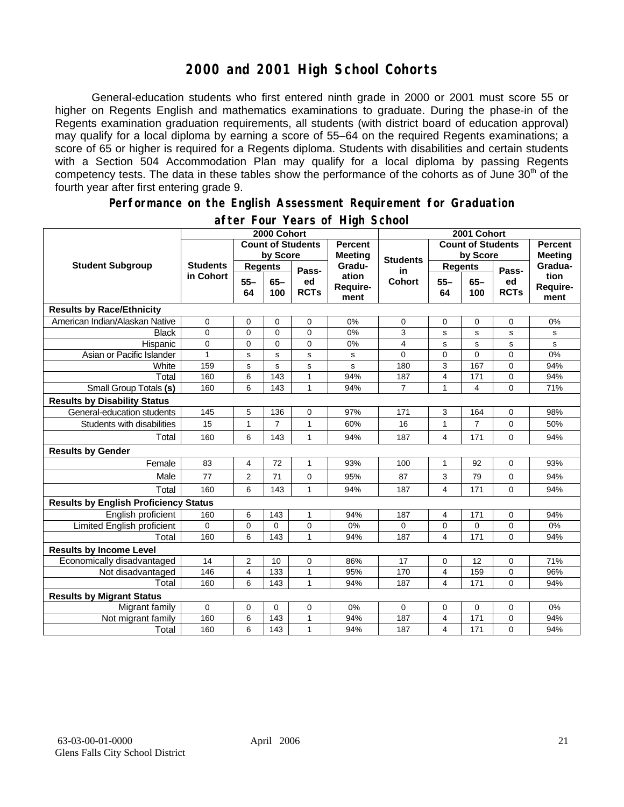## **2000 and 2001 High School Cohorts**

General-education students who first entered ninth grade in 2000 or 2001 must score 55 or higher on Regents English and mathematics examinations to graduate. During the phase-in of the Regents examination graduation requirements, all students (with district board of education approval) may qualify for a local diploma by earning a score of 55–64 on the required Regents examinations; a score of 65 or higher is required for a Regents diploma. Students with disabilities and certain students with a Section 504 Accommodation Plan may qualify for a local diploma by passing Regents competency tests. The data in these tables show the performance of the cohorts as of June 30<sup>th</sup> of the fourth year after first entering grade 9.

#### **Performance on the English Assessment Requirement for Graduation**

|                                              | 2000 Cohort                  |                          |                |                   |                                  | 2001 Cohort     |                          |                |                                  |                          |
|----------------------------------------------|------------------------------|--------------------------|----------------|-------------------|----------------------------------|-----------------|--------------------------|----------------|----------------------------------|--------------------------|
| <b>Student Subgroup</b>                      |                              | <b>Count of Students</b> |                |                   | <b>Percent</b><br><b>Meeting</b> |                 | <b>Count of Students</b> |                | <b>Percent</b><br><b>Meeting</b> |                          |
|                                              | <b>Students</b><br>in Cohort | by Score                 |                |                   |                                  | <b>Students</b> | by Score                 |                |                                  |                          |
|                                              |                              | <b>Regents</b>           |                | Pass-             | Gradu-                           | in              | <b>Regents</b>           |                | Pass-                            | Gradua-                  |
|                                              |                              | $55 -$<br>64             | $65 -$<br>100  | ed<br><b>RCTs</b> | ation<br>Require-<br>ment        | <b>Cohort</b>   | $55 -$<br>64             | $65 -$<br>100  | ed<br><b>RCTs</b>                | tion<br>Require-<br>ment |
| <b>Results by Race/Ethnicity</b>             |                              |                          |                |                   |                                  |                 |                          |                |                                  |                          |
| American Indian/Alaskan Native               | 0                            | 0                        | $\mathbf 0$    | 0                 | 0%                               | $\mathbf 0$     | 0                        | $\mathbf 0$    | 0                                | 0%                       |
| <b>Black</b>                                 | $\Omega$                     | $\mathbf{0}$             | $\Omega$       | $\overline{0}$    | 0%                               | 3               | s                        | s              | s                                | s                        |
| Hispanic                                     | 0                            | 0                        | 0              | 0                 | 0%                               | 4               | s                        | s              | s                                | s                        |
| Asian or Pacific Islander                    | $\mathbf{1}$                 | S                        | $\mathbf s$    | s                 | s                                | $\Omega$        | 0                        | 0              | $\overline{0}$                   | 0%                       |
| White                                        | 159                          | $\mathbf S$              | $\mathbf s$    | s                 | s                                | 180             | 3                        | 167            | 0                                | 94%                      |
| Total                                        | 160                          | 6                        | 143            | $\mathbf{1}$      | 94%                              | 187             | 4                        | 171            | 0                                | 94%                      |
| Small Group Totals (s)                       | 160                          | 6                        | 143            | 1                 | 94%                              | $\overline{7}$  | $\mathbf{1}$             | 4              | $\Omega$                         | 71%                      |
| <b>Results by Disability Status</b>          |                              |                          |                |                   |                                  |                 |                          |                |                                  |                          |
| General-education students                   | 145                          | 5                        | 136            | $\mathbf 0$       | 97%                              | 171             | 3                        | 164            | 0                                | 98%                      |
| Students with disabilities                   | 15                           | $\mathbf{1}$             | $\overline{7}$ | $\mathbf{1}$      | 60%                              | 16              | $\mathbf{1}$             | $\overline{7}$ | 0                                | 50%                      |
| Total                                        | 160                          | 6                        | 143            | $\mathbf{1}$      | 94%                              | 187             | 4                        | 171            | 0                                | 94%                      |
| <b>Results by Gender</b>                     |                              |                          |                |                   |                                  |                 |                          |                |                                  |                          |
| Female                                       | 83                           | $\overline{4}$           | 72             | $\mathbf{1}$      | 93%                              | 100             | $\mathbf{1}$             | 92             | 0                                | 93%                      |
| Male                                         | 77                           | 2                        | 71             | 0                 | 95%                              | 87              | 3                        | 79             | 0                                | 94%                      |
| Total                                        | 160                          | 6                        | 143            | $\mathbf{1}$      | 94%                              | 187             | $\overline{\mathbf{4}}$  | 171            | 0                                | 94%                      |
| <b>Results by English Proficiency Status</b> |                              |                          |                |                   |                                  |                 |                          |                |                                  |                          |
| English proficient                           | 160                          | 6                        | 143            | 1                 | 94%                              | 187             | 4                        | 171            | 0                                | 94%                      |
| Limited English proficient                   | $\Omega$                     | 0                        | $\Omega$       | 0                 | 0%                               | $\Omega$        | 0                        | 0              | 0                                | 0%                       |
| Total                                        | 160                          | 6                        | 143            | 1                 | 94%                              | 187             | 4                        | 171            | $\Omega$                         | 94%                      |
| <b>Results by Income Level</b>               |                              |                          |                |                   |                                  |                 |                          |                |                                  |                          |
| Economically disadvantaged                   | 14                           | $\overline{c}$           | 10             | 0                 | 86%                              | 17              | 0                        | 12             | 0                                | 71%                      |
| Not disadvantaged                            | 146                          | $\overline{4}$           | 133            | $\mathbf{1}$      | 95%                              | 170             | $\overline{4}$           | 159            | 0                                | 96%                      |
| Total                                        | 160                          | 6                        | 143            | 1                 | 94%                              | 187             | 4                        | 171            | $\Omega$                         | 94%                      |
| <b>Results by Migrant Status</b>             |                              |                          |                |                   |                                  |                 |                          |                |                                  |                          |
| Migrant family                               | 0                            | 0                        | 0              | 0                 | 0%                               | 0               | 0                        | 0              | 0                                | 0%                       |
| Not migrant family                           | 160                          | 6                        | 143            | 1                 | 94%                              | 187             | 4                        | 171            | 0                                | 94%                      |
| Total                                        | 160                          | 6                        | 143            | 1                 | 94%                              | 187             | $\overline{\mathbf{4}}$  | 171            | 0                                | 94%                      |

### **after Four Years of High School**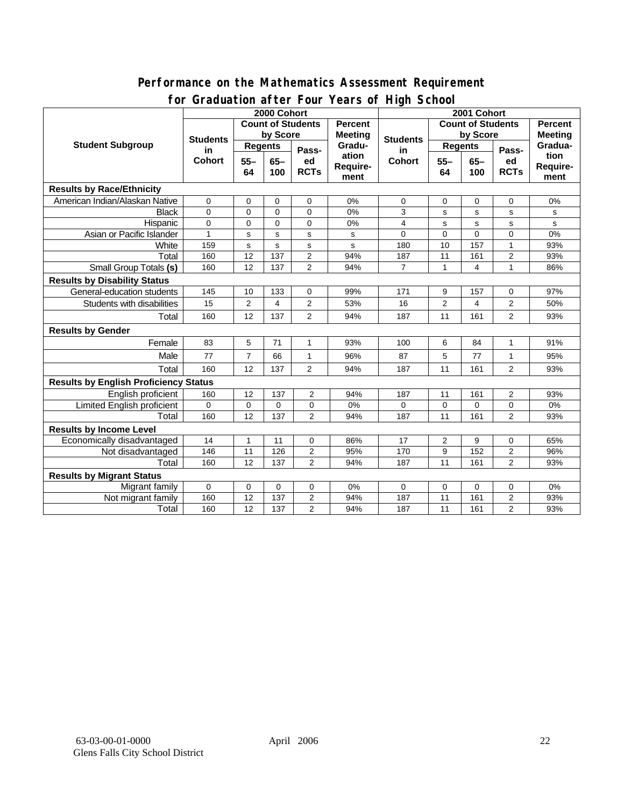### **Performance on the Mathematics Assessment Requirement for Graduation after Four Years of High School**

|                                              | 31 aaaa tion ah tor 1 oo 1<br>2000 Cohort |                |             |                            |                   | <b>Produced in the series</b><br>2001 Cohort |                              |                |                            |                |
|----------------------------------------------|-------------------------------------------|----------------|-------------|----------------------------|-------------------|----------------------------------------------|------------------------------|----------------|----------------------------|----------------|
| <b>Student Subgroup</b>                      | <b>Count of Students</b>                  |                |             |                            | <b>Percent</b>    |                                              | <b>Count of Students</b>     |                |                            | <b>Percent</b> |
|                                              | <b>Students</b><br>in<br><b>Cohort</b>    | by Score       |             |                            | <b>Meeting</b>    |                                              | by Score                     |                |                            | <b>Meeting</b> |
|                                              |                                           | <b>Regents</b> |             |                            | Gradu-            | <b>Students</b><br>in                        | <b>Regents</b>               |                |                            | Gradua-        |
|                                              |                                           | $55 -$         | $65-$       | Pass-<br>ed<br><b>RCTs</b> | ation<br>Require- | <b>Cohort</b>                                | $65-$<br>$55 -$<br>64<br>100 |                | Pass-<br>ed<br><b>RCTs</b> | tion           |
|                                              |                                           | 64<br>100      |             |                            |                   |                                              |                              |                |                            | Require-       |
|                                              |                                           |                |             | ment                       |                   |                                              |                              |                | ment                       |                |
| <b>Results by Race/Ethnicity</b>             |                                           |                |             |                            |                   |                                              |                              |                |                            |                |
| American Indian/Alaskan Native               | $\mathbf 0$                               | 0              | 0           | 0                          | 0%                | 0                                            | 0                            | 0              | 0                          | 0%             |
| <b>Black</b>                                 | $\Omega$                                  | $\mathbf 0$    | $\Omega$    | $\Omega$                   | 0%                | 3                                            | s                            | $\mathbf s$    | s                          | s              |
| Hispanic                                     | 0                                         | $\mathbf 0$    | $\mathbf 0$ | 0                          | 0%                | 4                                            | s                            | $\mathbf s$    | s                          | s              |
| Asian or Pacific Islander                    | $\mathbf{1}$                              | s              | s           | $\sf s$                    | s                 | $\Omega$                                     | 0                            | $\mathbf 0$    | 0                          | 0%             |
| White                                        | 159                                       | s              | s           | s                          | s                 | 180                                          | 10                           | 157            | $\mathbf{1}$               | 93%            |
| Total                                        | 160                                       | 12             | 137         | $\overline{2}$             | 94%               | 187                                          | $\overline{11}$              | 161            | $\overline{c}$             | 93%            |
| <b>Small Group Totals (s)</b>                | 160                                       | 12             | 137         | $\overline{2}$             | 94%               | $\overline{7}$                               | 1                            | 4              | $\mathbf{1}$               | 86%            |
| <b>Results by Disability Status</b>          |                                           |                |             |                            |                   |                                              |                              |                |                            |                |
| General-education students                   | 145                                       | 10             | 133         | $\mathbf 0$                | 99%               | 171                                          | 9                            | 157            | 0                          | 97%            |
| Students with disabilities                   | 15                                        | 2              | 4           | $\overline{2}$             | 53%               | 16                                           | 2                            | $\overline{4}$ | 2                          | 50%            |
| Total                                        | 160                                       | 12             | 137         | $\overline{2}$             | 94%               | 187                                          | 11                           | 161            | $\overline{2}$             | 93%            |
| <b>Results by Gender</b>                     |                                           |                |             |                            |                   |                                              |                              |                |                            |                |
| Female                                       | 83                                        | 5              | 71          | $\mathbf{1}$               | 93%               | 100                                          | 6                            | 84             | $\mathbf{1}$               | 91%            |
| Male                                         | 77                                        | $\overline{7}$ | 66          | $\mathbf{1}$               | 96%               | 87                                           | 5                            | 77             | $\mathbf{1}$               | 95%            |
| Total                                        | 160                                       | 12             | 137         | 2                          | 94%               | 187                                          | 11                           | 161            | 2                          | 93%            |
| <b>Results by English Proficiency Status</b> |                                           |                |             |                            |                   |                                              |                              |                |                            |                |
| English proficient                           | 160                                       | 12             | 137         | 2                          | 94%               | 187                                          | 11                           | 161            | $\overline{2}$             | 93%            |
| Limited English proficient                   | 0                                         | $\mathbf 0$    | 0           | 0                          | 0%                | 0                                            | $\mathbf 0$                  | $\mathbf 0$    | 0                          | 0%             |
| Total                                        | 160                                       | 12             | 137         | $\overline{2}$             | 94%               | 187                                          | 11                           | 161            | $\overline{2}$             | 93%            |
| <b>Results by Income Level</b>               |                                           |                |             |                            |                   |                                              |                              |                |                            |                |
| Economically disadvantaged                   | 14                                        | 1              | 11          | 0                          | 86%               | 17                                           | $\overline{c}$               | 9              | 0                          | 65%            |
| Not disadvantaged                            | 146                                       | 11             | 126         | 2                          | 95%               | 170                                          | 9                            | 152            | 2                          | 96%            |
| Total                                        | 160                                       | 12             | 137         | $\overline{2}$             | 94%               | 187                                          | 11                           | 161            | $\overline{2}$             | 93%            |
| <b>Results by Migrant Status</b>             |                                           |                |             |                            |                   |                                              |                              |                |                            |                |
| Migrant family                               | $\mathbf 0$                               | 0              | 0           | 0                          | 0%                | 0                                            | 0                            | 0              | 0                          | 0%             |
| Not migrant family                           | 160                                       | 12             | 137         | $\overline{2}$             | 94%               | 187                                          | 11                           | 161            | $\mathbf{2}$               | 93%            |
| Total                                        | 160                                       | 12             | 137         | $\overline{2}$             | 94%               | 187                                          | 11                           | 161            | $\overline{2}$             | 93%            |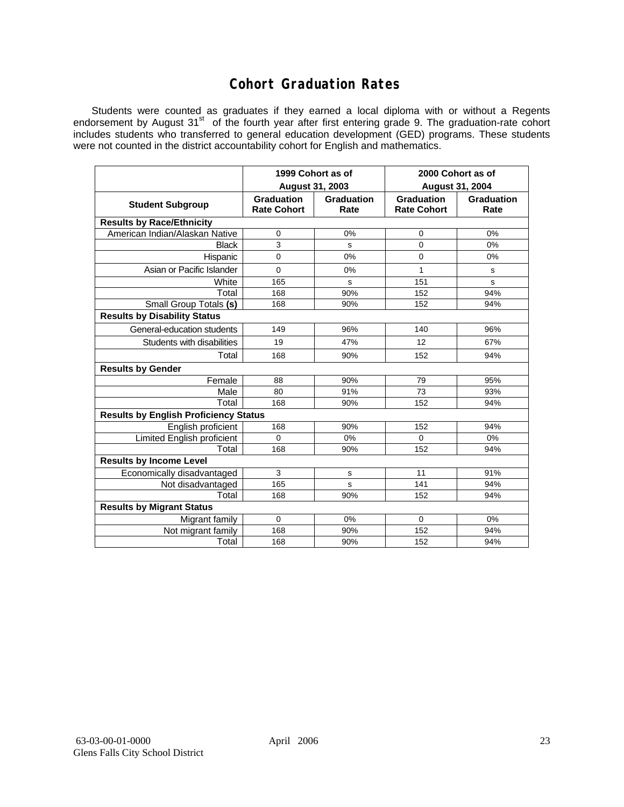## **Cohort Graduation Rates**

Students were counted as graduates if they earned a local diploma with or without a Regents endorsement by August 31<sup>st</sup> of the fourth year after first entering grade 9. The graduation-rate cohort includes students who transferred to general education development (GED) programs. These students were not counted in the district accountability cohort for English and mathematics.

|                                              | August 31, 2003                         | 1999 Cohort as of  | 2000 Cohort as of<br><b>August 31, 2004</b> |                    |  |  |  |  |  |  |
|----------------------------------------------|-----------------------------------------|--------------------|---------------------------------------------|--------------------|--|--|--|--|--|--|
| <b>Student Subgroup</b>                      | <b>Graduation</b><br><b>Rate Cohort</b> | Graduation<br>Rate | <b>Graduation</b><br><b>Rate Cohort</b>     | Graduation<br>Rate |  |  |  |  |  |  |
| <b>Results by Race/Ethnicity</b>             |                                         |                    |                                             |                    |  |  |  |  |  |  |
| American Indian/Alaskan Native               | 0                                       | 0%                 | 0                                           | 0%                 |  |  |  |  |  |  |
| <b>Black</b>                                 | 3                                       | s                  | 0                                           | 0%                 |  |  |  |  |  |  |
| Hispanic                                     | 0                                       | 0%                 | 0                                           | 0%                 |  |  |  |  |  |  |
| Asian or Pacific Islander                    | $\Omega$                                | 0%                 | 1                                           | s                  |  |  |  |  |  |  |
| White                                        | 165                                     | s                  | 151                                         | s                  |  |  |  |  |  |  |
| Total                                        | 168                                     | 90%                | 152                                         | 94%                |  |  |  |  |  |  |
| Small Group Totals (s)                       | 168                                     | 90%                | 152                                         | 94%                |  |  |  |  |  |  |
| <b>Results by Disability Status</b>          |                                         |                    |                                             |                    |  |  |  |  |  |  |
| General-education students                   | 149                                     | 96%                | 140                                         | 96%                |  |  |  |  |  |  |
| Students with disabilities                   | 19                                      | 47%                | 12                                          | 67%                |  |  |  |  |  |  |
| Total                                        | 168                                     | 90%                | 152                                         | 94%                |  |  |  |  |  |  |
| <b>Results by Gender</b>                     |                                         |                    |                                             |                    |  |  |  |  |  |  |
| Female                                       | 88                                      | 90%                | 79                                          | 95%                |  |  |  |  |  |  |
| Male                                         | 80                                      | 91%                | 73                                          | 93%                |  |  |  |  |  |  |
| Total                                        | 168                                     | 90%                | 152                                         | 94%                |  |  |  |  |  |  |
| <b>Results by English Proficiency Status</b> |                                         |                    |                                             |                    |  |  |  |  |  |  |
| English proficient                           | 168                                     | 90%                | 152                                         | 94%                |  |  |  |  |  |  |
| Limited English proficient                   | $\Omega$                                | 0%                 | $\Omega$                                    | 0%                 |  |  |  |  |  |  |
| Total                                        | 168                                     | 90%                | 152                                         | 94%                |  |  |  |  |  |  |
| <b>Results by Income Level</b>               |                                         |                    |                                             |                    |  |  |  |  |  |  |
| Economically disadvantaged                   | 3                                       | s                  | 11                                          | 91%                |  |  |  |  |  |  |
| Not disadvantaged                            | 165                                     | S                  | 141                                         | 94%                |  |  |  |  |  |  |
| Total                                        | 168                                     | 90%                | 152                                         | 94%                |  |  |  |  |  |  |
| <b>Results by Migrant Status</b>             |                                         |                    |                                             |                    |  |  |  |  |  |  |
| Migrant family                               | $\Omega$                                | 0%                 | $\Omega$                                    | 0%                 |  |  |  |  |  |  |
| Not migrant family                           | 168                                     | 90%                | 152                                         | 94%                |  |  |  |  |  |  |
| Total                                        | 168                                     | 90%                | 152                                         | 94%                |  |  |  |  |  |  |